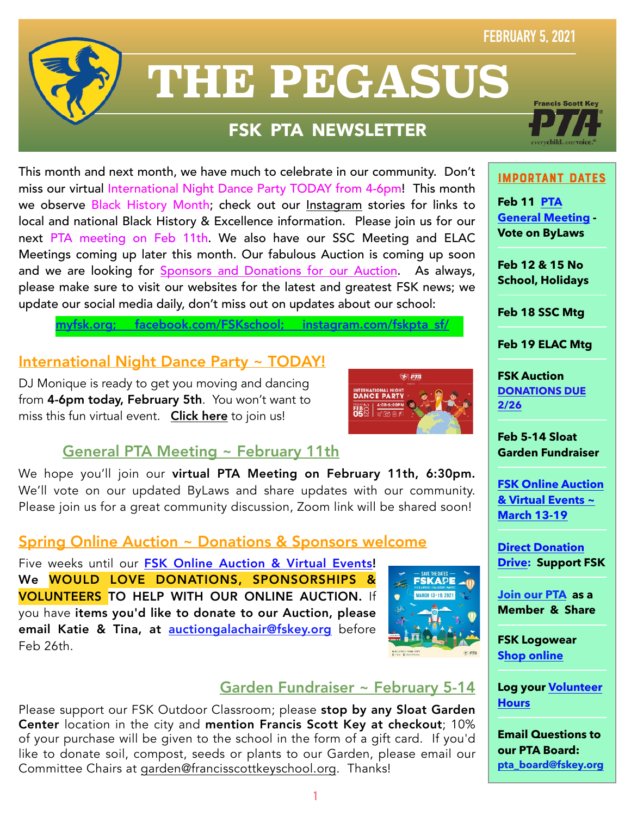### **FEBRUARY 5, 2021**



# **THE PEGASUS**

## **FSK PTA NEWSLETTER**

This month and next month, we have much to celebrate in our community. Don't miss our virtual International Night Dance Party TODAY from 4-6pm! This month we observe Black History Month; check out our [Instagram](https://www.instagram.com/fskpta_sf/) stories for links to local and national Black History & Excellence information. Please join us for our next PTA meeting on Feb 11th. We also have our SSC Meeting and ELAC Meetings coming up later this month. Our fabulous Auction is coming up soon and we are looking for [Sponsors and Donations for our Auction.](https://myfsk.org/enrichment/fsk-gala/) As always, please make sure to visit our websites for the latest and greatest FSK news; we update our social media daily, don't miss out on updates about our school:

**Francis Scott** 

#### ImPoRtAnT DaTeS

**Feb 11 [PTA](http://myfsk.org)  [General Meeting](http://myfsk.org) - Vote on ByLaws** 

**Feb 12 & 15 No School, Holidays** 

**Feb 18 SSC Mtg** 

**Feb 19 ELAC Mtg**

**FSK Auction [DONATIONS DUE](mailto:auctiongalachair@fskey.org)  [2/26](mailto:auctiongalachair@fskey.org)**

**Feb 5-14 Sloat Garden Fundraiser** 

**[FSK Online Auction](https://myfsk.org/enrichment/fsk-gala/)  [& Virtual Events ~](https://myfsk.org/enrichment/fsk-gala/)  [March 13-19](https://myfsk.org/enrichment/fsk-gala/)**

**[Direct Donation](http://bit.ly/fskdonate)  [Drive:](http://bit.ly/fskdonate) Support FSK**

**[Join our PTA](https://jointotem.com/ca/san-francisco/francis-scott-key-elementary-pta/join/register) as a Member & Share** 

**FSK Logowear [Shop online](https://myfsk.org/shop/)**

**Log your [Volunteer](https://docs.google.com/forms/d/e/1FAIpQLSd3Yv-P6Vr0N20ErlroPtnAghhG8sok4mJ8KCWQ6fSe6Siaxw/viewform?vc=0&c=0&w=1&flr=0&gxids=7757)  [Hours](https://docs.google.com/forms/d/e/1FAIpQLSd3Yv-P6Vr0N20ErlroPtnAghhG8sok4mJ8KCWQ6fSe6Siaxw/viewform?vc=0&c=0&w=1&flr=0&gxids=7757)** 

**Email Questions to our PTA Board: [pta\\_board@fskey.org](mailto:pta_board@fskey.org)**

[myfsk.org;](https://myfsk.org) [facebook.com/FSKschool](http://www.facebook.com/FSKschool); [instagram.com/fskpta\\_sf/](https://www.instagram.com/fskpta_sf/) 

#### International Night Dance Party ~ TODAY!

DJ Monique is ready to get you moving and dancing from 4-6pm today, February 5th. You won't want to miss this fun virtual event. [Click here](https://zoom.us/j/92047987756?pwd=amtnREhwYnJ1aGFNSDJsTkRLazRsdz09) to join us!



#### General PTA Meeting ~ February 11th

We hope you'll join our virtual PTA Meeting on February 11th, 6:30pm. We'll vote on our updated ByLaws and share updates with our community. Please join us for a great community discussion, Zoom link will be shared soon!

#### Spring Online Auction ~ Donations & Sponsors welcome

Five weeks until our [FSK Online Auction & Virtual Events](https://myfsk.org/enrichment/fsk-gala/)! We WOULD LOVE DONATIONS, SPONSORSHIPS & VOLUNTEERS TO HELP WITH OUR ONLINE AUCTION. If you have items you'd like to donate to our Auction, please email Katie & Tina, at [auctiongalachair@fskey.org](mailto:auctiongalachair@fskey.org) before Feb 26th.



#### Garden Fundraiser ~ February 5-14

Please support our FSK Outdoor Classroom; please stop by any Sloat Garden Center location in the city and mention Francis Scott Key at checkout; 10% of your purchase will be given to the school in the form of a gift card. If you'd like to donate soil, compost, seeds or plants to our Garden, please email our Committee Chairs at [garden@francisscottkeyschool.org](mailto:garden@francisscottkeyschool.org). Thanks!